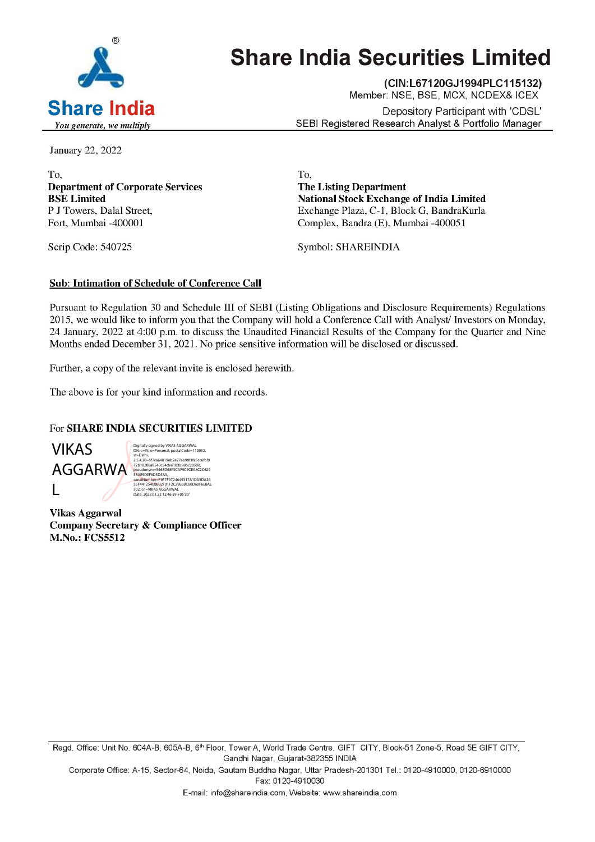

# Share India Securities Limited

(CIN:L67120GJ1994PLC115132) Member: NSE, BSE, MCX, NCDEX& ICEX **Share India Depository Participant with 'CDSL'** You generate, we multiply  $You$  generate, we multiply

January 22, 2022

To, To, Department of Corporate Services The Listing Department

BSE Limited National Stock Exchange of India Limited P J Towers, Dalal Street, The Exchange Plaza, C-1, Block G, BandraKurla Fort, Mumbai -400001 Complex, Bandra (E), Mumbai -400051

Scrip Code: 540725 Symbol: SHAREINDIA

#### Sub: Intimation of Schedule of Conference Call

Pursuant to Regulation 30 and Schedule UI of SEBI (Listing Obligations and Disclosure Requirements) Regulations 2015, we would like to inform you that the Company will hold a Conference Call with Analyst/ Investors on Monday, 24 January, 2022 at 4:00 p.m. to discuss the Unaudited Financial Results of the Company for the Quarter and Nine Months ended December 31, 2021. No price sensitive information will be disclosed or discussed. Sub: Intimation of Scheduk of Conference Call<br>
Persuant to Regulation 30 and Schedule III of SEBI (Listing Obligations and Disclosure Requirements) Regard<br>
24 Jamaxy, 2022 at 4:00 p.m. to these so the Unaudred Premeiral Re

Further, a copy of the relevant invite is enclosed herewith.

The above is for your kind information and records.

#### For SHARE INDIA SECURITIES LIMITED

L

AGGARWA <sup>72b18208a8543c54dee103b88bc2050d,</sup><br>BakepDEF8D5D5A3,<br>serialNumber=F9F7F9724469317A1DA3DA2B Digitally signed by VIKAS AGGARWAL<br>DN: c=IN, o=Personal, postalCode=110032,<br>st=Delhi,<br>2.5.4.20=5f7caa4019eb2e27ab90f1fa5cc6fbf9<br>7.2b18208a8543c54dee103b88bc2050d, 502, cn=VIKAS AGGARWAL Date: 2022.01.22 12:46:59 +05'30'

Vikas Aggarwal Company Secretary & Compliance Officer M.No.: FCS5512

Gandhi Nagar, Gujarat-382355 INDIA E-mail: info@shareindia.com, Website: Website: Website: Website: Website: Website: Website: Website: Website: Website: Website: Website: Website: Website: Website: Website: Website: Website: Website: Website: Website: Webs

Corporate Office: A-15, Sector-64, Noida, Gautam Buddha Nagar, Uttar Pradesh-201301 Tel.: 0120-4910000, 0120-6910000 Fax: 0120-4910030